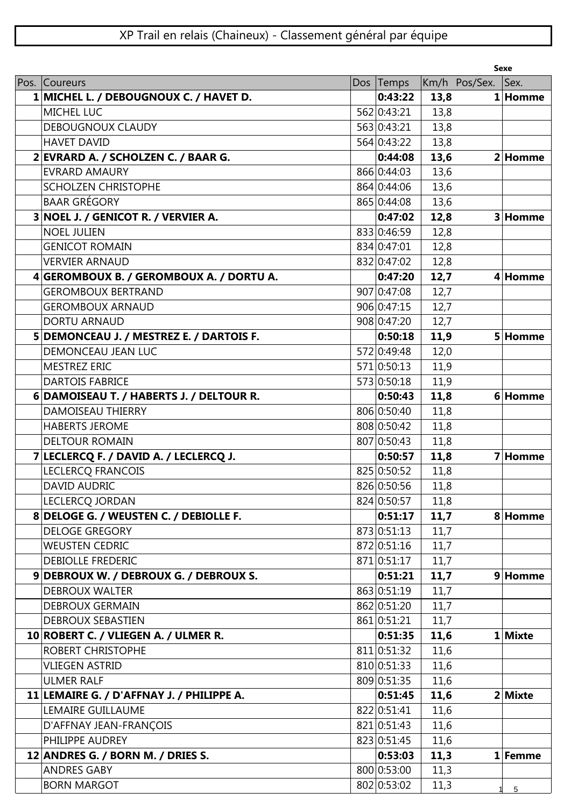| Pos. Coureurs<br>Km/h Pos/Sex. Sex.<br>Dos Temps<br>0:43:22<br>1 MICHEL L. / DEBOUGNOUX C. / HAVET D.<br>13,8<br>1 Homme<br><b>MICHEL LUC</b><br>562 0:43:21<br>13,8<br>563 0:43:21<br>13,8<br><b>DEBOUGNOUX CLAUDY</b><br>13,8<br><b>HAVET DAVID</b><br>564 0:43:22<br>2 EVRARD A. / SCHOLZEN C. / BAAR G.<br>13,6<br>0:44:08<br>2 Homme<br><b>EVRARD AMAURY</b><br>866 0:44:03<br>13,6<br>13,6<br><b>SCHOLZEN CHRISTOPHE</b><br>864 0:44:06<br><b>BAAR GRÉGORY</b><br>865 0:44:08<br>13,6<br>3 NOEL J. / GENICOT R. / VERVIER A.<br>12,8<br>3 Homme<br>0:47:02<br><b>NOEL JULIEN</b><br>833 0:46:59<br>12,8<br>12,8<br>834 0:47:01<br><b>GENICOT ROMAIN</b><br>832 0:47:02<br><b>VERVIER ARNAUD</b><br>12,8<br>12,7<br>4 Homme<br>4 GEROMBOUX B. / GEROMBOUX A. / DORTU A.<br>0:47:20<br>907 0:47:08<br>12,7<br><b>GEROMBOUX BERTRAND</b><br>906 0:47:15<br><b>GEROMBOUX ARNAUD</b><br>12,7<br>908 0:47:20<br>12,7<br><b>DORTU ARNAUD</b><br>5 DEMONCEAU J. / MESTREZ E. / DARTOIS F.<br>11,9<br> 0:50:18<br>5 Homme<br>572 0:49:48<br>12,0<br>DEMONCEAU JEAN LUC<br>571 0:50:13<br>11,9<br>MESTREZ ERIC<br><b>DARTOIS FABRICE</b><br>11,9<br>573 0:50:18<br>11,8<br>6 DAMOISEAU T. / HABERTS J. / DELTOUR R.<br>6 Homme<br>0:50:43<br><b>DAMOISEAU THIERRY</b><br>806 0:50:40<br>11,8<br>808 0:50:42<br>11,8<br><b>HABERTS JEROME</b><br>11,8<br>807 0:50:43<br><b>DELTOUR ROMAIN</b><br>7 LECLERCQ F. / DAVID A. / LECLERCQ J.<br>11,8<br>7 Homme<br>0:50:57<br>825 0:50:52<br><b>LECLERCQ FRANCOIS</b><br>11,8<br>826 0:50:56<br>11,8<br><b>DAVID AUDRIC</b><br>824 0:50:57<br>LECLERCQ JORDAN<br>11,8<br>8 DELOGE G. / WEUSTEN C. / DEBIOLLE F.<br>11,7<br> 0:51:17<br>8 Homme<br><b>DELOGE GREGORY</b><br>873 0:51:13<br>11,7<br>872 0:51:16<br><b>WEUSTEN CEDRIC</b><br>11,7<br>871 0:51:17<br>11,7<br><b>DEBIOLLE FREDERIC</b><br>11,7<br>9 DEBROUX W. / DEBROUX G. / DEBROUX S.<br>0:51:21<br>9 Homme<br>863 0:51:19<br>11,7<br><b>DEBROUX WALTER</b><br>11,7<br><b>DEBROUX GERMAIN</b><br>862 0:51:20<br>861 0:51:21<br>11,7<br><b>DEBROUX SEBASTIEN</b><br>10 ROBERT C. / VLIEGEN A. / ULMER R.<br>0:51:35<br>11,6<br>1 Mixte<br>811 0:51:32<br>ROBERT CHRISTOPHE<br>11,6<br>810 0:51:33<br>11,6<br><b>VLIEGEN ASTRID</b><br>809 0:51:35<br><b>ULMER RALF</b><br>11,6<br>11,6<br>2 Mixte<br>11 LEMAIRE G. / D'AFFNAY J. / PHILIPPE A.<br>0:51:45<br>LEMAIRE GUILLAUME<br>822 0:51:41<br>11,6<br>821 0:51:43<br>D'AFFNAY JEAN-FRANÇOIS<br>11,6<br>PHILIPPE AUDREY<br>823 0:51:45<br>11,6<br>12 ANDRES G. / BORN M. / DRIES S.<br>11,3<br>0:53:03<br>1 Femme<br>800 0:53:00<br><b>ANDRES GABY</b><br>11,3<br>802 0:53:02 |                    |  |      | <b>Sexe</b>     |
|------------------------------------------------------------------------------------------------------------------------------------------------------------------------------------------------------------------------------------------------------------------------------------------------------------------------------------------------------------------------------------------------------------------------------------------------------------------------------------------------------------------------------------------------------------------------------------------------------------------------------------------------------------------------------------------------------------------------------------------------------------------------------------------------------------------------------------------------------------------------------------------------------------------------------------------------------------------------------------------------------------------------------------------------------------------------------------------------------------------------------------------------------------------------------------------------------------------------------------------------------------------------------------------------------------------------------------------------------------------------------------------------------------------------------------------------------------------------------------------------------------------------------------------------------------------------------------------------------------------------------------------------------------------------------------------------------------------------------------------------------------------------------------------------------------------------------------------------------------------------------------------------------------------------------------------------------------------------------------------------------------------------------------------------------------------------------------------------------------------------------------------------------------------------------------------------------------------------------------------------------------------------------------------------------------------------------------------------------------------------------------------------------------------------------------------------------------------------------------------------------------------------------------------------------------------------------------------------------------------------------------|--------------------|--|------|-----------------|
|                                                                                                                                                                                                                                                                                                                                                                                                                                                                                                                                                                                                                                                                                                                                                                                                                                                                                                                                                                                                                                                                                                                                                                                                                                                                                                                                                                                                                                                                                                                                                                                                                                                                                                                                                                                                                                                                                                                                                                                                                                                                                                                                                                                                                                                                                                                                                                                                                                                                                                                                                                                                                                    |                    |  |      |                 |
|                                                                                                                                                                                                                                                                                                                                                                                                                                                                                                                                                                                                                                                                                                                                                                                                                                                                                                                                                                                                                                                                                                                                                                                                                                                                                                                                                                                                                                                                                                                                                                                                                                                                                                                                                                                                                                                                                                                                                                                                                                                                                                                                                                                                                                                                                                                                                                                                                                                                                                                                                                                                                                    |                    |  |      |                 |
|                                                                                                                                                                                                                                                                                                                                                                                                                                                                                                                                                                                                                                                                                                                                                                                                                                                                                                                                                                                                                                                                                                                                                                                                                                                                                                                                                                                                                                                                                                                                                                                                                                                                                                                                                                                                                                                                                                                                                                                                                                                                                                                                                                                                                                                                                                                                                                                                                                                                                                                                                                                                                                    |                    |  |      |                 |
|                                                                                                                                                                                                                                                                                                                                                                                                                                                                                                                                                                                                                                                                                                                                                                                                                                                                                                                                                                                                                                                                                                                                                                                                                                                                                                                                                                                                                                                                                                                                                                                                                                                                                                                                                                                                                                                                                                                                                                                                                                                                                                                                                                                                                                                                                                                                                                                                                                                                                                                                                                                                                                    |                    |  |      |                 |
|                                                                                                                                                                                                                                                                                                                                                                                                                                                                                                                                                                                                                                                                                                                                                                                                                                                                                                                                                                                                                                                                                                                                                                                                                                                                                                                                                                                                                                                                                                                                                                                                                                                                                                                                                                                                                                                                                                                                                                                                                                                                                                                                                                                                                                                                                                                                                                                                                                                                                                                                                                                                                                    |                    |  |      |                 |
|                                                                                                                                                                                                                                                                                                                                                                                                                                                                                                                                                                                                                                                                                                                                                                                                                                                                                                                                                                                                                                                                                                                                                                                                                                                                                                                                                                                                                                                                                                                                                                                                                                                                                                                                                                                                                                                                                                                                                                                                                                                                                                                                                                                                                                                                                                                                                                                                                                                                                                                                                                                                                                    |                    |  |      |                 |
|                                                                                                                                                                                                                                                                                                                                                                                                                                                                                                                                                                                                                                                                                                                                                                                                                                                                                                                                                                                                                                                                                                                                                                                                                                                                                                                                                                                                                                                                                                                                                                                                                                                                                                                                                                                                                                                                                                                                                                                                                                                                                                                                                                                                                                                                                                                                                                                                                                                                                                                                                                                                                                    |                    |  |      |                 |
|                                                                                                                                                                                                                                                                                                                                                                                                                                                                                                                                                                                                                                                                                                                                                                                                                                                                                                                                                                                                                                                                                                                                                                                                                                                                                                                                                                                                                                                                                                                                                                                                                                                                                                                                                                                                                                                                                                                                                                                                                                                                                                                                                                                                                                                                                                                                                                                                                                                                                                                                                                                                                                    |                    |  |      |                 |
|                                                                                                                                                                                                                                                                                                                                                                                                                                                                                                                                                                                                                                                                                                                                                                                                                                                                                                                                                                                                                                                                                                                                                                                                                                                                                                                                                                                                                                                                                                                                                                                                                                                                                                                                                                                                                                                                                                                                                                                                                                                                                                                                                                                                                                                                                                                                                                                                                                                                                                                                                                                                                                    |                    |  |      |                 |
|                                                                                                                                                                                                                                                                                                                                                                                                                                                                                                                                                                                                                                                                                                                                                                                                                                                                                                                                                                                                                                                                                                                                                                                                                                                                                                                                                                                                                                                                                                                                                                                                                                                                                                                                                                                                                                                                                                                                                                                                                                                                                                                                                                                                                                                                                                                                                                                                                                                                                                                                                                                                                                    |                    |  |      |                 |
|                                                                                                                                                                                                                                                                                                                                                                                                                                                                                                                                                                                                                                                                                                                                                                                                                                                                                                                                                                                                                                                                                                                                                                                                                                                                                                                                                                                                                                                                                                                                                                                                                                                                                                                                                                                                                                                                                                                                                                                                                                                                                                                                                                                                                                                                                                                                                                                                                                                                                                                                                                                                                                    |                    |  |      |                 |
|                                                                                                                                                                                                                                                                                                                                                                                                                                                                                                                                                                                                                                                                                                                                                                                                                                                                                                                                                                                                                                                                                                                                                                                                                                                                                                                                                                                                                                                                                                                                                                                                                                                                                                                                                                                                                                                                                                                                                                                                                                                                                                                                                                                                                                                                                                                                                                                                                                                                                                                                                                                                                                    |                    |  |      |                 |
|                                                                                                                                                                                                                                                                                                                                                                                                                                                                                                                                                                                                                                                                                                                                                                                                                                                                                                                                                                                                                                                                                                                                                                                                                                                                                                                                                                                                                                                                                                                                                                                                                                                                                                                                                                                                                                                                                                                                                                                                                                                                                                                                                                                                                                                                                                                                                                                                                                                                                                                                                                                                                                    |                    |  |      |                 |
|                                                                                                                                                                                                                                                                                                                                                                                                                                                                                                                                                                                                                                                                                                                                                                                                                                                                                                                                                                                                                                                                                                                                                                                                                                                                                                                                                                                                                                                                                                                                                                                                                                                                                                                                                                                                                                                                                                                                                                                                                                                                                                                                                                                                                                                                                                                                                                                                                                                                                                                                                                                                                                    |                    |  |      |                 |
|                                                                                                                                                                                                                                                                                                                                                                                                                                                                                                                                                                                                                                                                                                                                                                                                                                                                                                                                                                                                                                                                                                                                                                                                                                                                                                                                                                                                                                                                                                                                                                                                                                                                                                                                                                                                                                                                                                                                                                                                                                                                                                                                                                                                                                                                                                                                                                                                                                                                                                                                                                                                                                    |                    |  |      |                 |
|                                                                                                                                                                                                                                                                                                                                                                                                                                                                                                                                                                                                                                                                                                                                                                                                                                                                                                                                                                                                                                                                                                                                                                                                                                                                                                                                                                                                                                                                                                                                                                                                                                                                                                                                                                                                                                                                                                                                                                                                                                                                                                                                                                                                                                                                                                                                                                                                                                                                                                                                                                                                                                    |                    |  |      |                 |
|                                                                                                                                                                                                                                                                                                                                                                                                                                                                                                                                                                                                                                                                                                                                                                                                                                                                                                                                                                                                                                                                                                                                                                                                                                                                                                                                                                                                                                                                                                                                                                                                                                                                                                                                                                                                                                                                                                                                                                                                                                                                                                                                                                                                                                                                                                                                                                                                                                                                                                                                                                                                                                    |                    |  |      |                 |
|                                                                                                                                                                                                                                                                                                                                                                                                                                                                                                                                                                                                                                                                                                                                                                                                                                                                                                                                                                                                                                                                                                                                                                                                                                                                                                                                                                                                                                                                                                                                                                                                                                                                                                                                                                                                                                                                                                                                                                                                                                                                                                                                                                                                                                                                                                                                                                                                                                                                                                                                                                                                                                    |                    |  |      |                 |
|                                                                                                                                                                                                                                                                                                                                                                                                                                                                                                                                                                                                                                                                                                                                                                                                                                                                                                                                                                                                                                                                                                                                                                                                                                                                                                                                                                                                                                                                                                                                                                                                                                                                                                                                                                                                                                                                                                                                                                                                                                                                                                                                                                                                                                                                                                                                                                                                                                                                                                                                                                                                                                    |                    |  |      |                 |
|                                                                                                                                                                                                                                                                                                                                                                                                                                                                                                                                                                                                                                                                                                                                                                                                                                                                                                                                                                                                                                                                                                                                                                                                                                                                                                                                                                                                                                                                                                                                                                                                                                                                                                                                                                                                                                                                                                                                                                                                                                                                                                                                                                                                                                                                                                                                                                                                                                                                                                                                                                                                                                    |                    |  |      |                 |
|                                                                                                                                                                                                                                                                                                                                                                                                                                                                                                                                                                                                                                                                                                                                                                                                                                                                                                                                                                                                                                                                                                                                                                                                                                                                                                                                                                                                                                                                                                                                                                                                                                                                                                                                                                                                                                                                                                                                                                                                                                                                                                                                                                                                                                                                                                                                                                                                                                                                                                                                                                                                                                    |                    |  |      |                 |
|                                                                                                                                                                                                                                                                                                                                                                                                                                                                                                                                                                                                                                                                                                                                                                                                                                                                                                                                                                                                                                                                                                                                                                                                                                                                                                                                                                                                                                                                                                                                                                                                                                                                                                                                                                                                                                                                                                                                                                                                                                                                                                                                                                                                                                                                                                                                                                                                                                                                                                                                                                                                                                    |                    |  |      |                 |
|                                                                                                                                                                                                                                                                                                                                                                                                                                                                                                                                                                                                                                                                                                                                                                                                                                                                                                                                                                                                                                                                                                                                                                                                                                                                                                                                                                                                                                                                                                                                                                                                                                                                                                                                                                                                                                                                                                                                                                                                                                                                                                                                                                                                                                                                                                                                                                                                                                                                                                                                                                                                                                    |                    |  |      |                 |
|                                                                                                                                                                                                                                                                                                                                                                                                                                                                                                                                                                                                                                                                                                                                                                                                                                                                                                                                                                                                                                                                                                                                                                                                                                                                                                                                                                                                                                                                                                                                                                                                                                                                                                                                                                                                                                                                                                                                                                                                                                                                                                                                                                                                                                                                                                                                                                                                                                                                                                                                                                                                                                    |                    |  |      |                 |
|                                                                                                                                                                                                                                                                                                                                                                                                                                                                                                                                                                                                                                                                                                                                                                                                                                                                                                                                                                                                                                                                                                                                                                                                                                                                                                                                                                                                                                                                                                                                                                                                                                                                                                                                                                                                                                                                                                                                                                                                                                                                                                                                                                                                                                                                                                                                                                                                                                                                                                                                                                                                                                    |                    |  |      |                 |
|                                                                                                                                                                                                                                                                                                                                                                                                                                                                                                                                                                                                                                                                                                                                                                                                                                                                                                                                                                                                                                                                                                                                                                                                                                                                                                                                                                                                                                                                                                                                                                                                                                                                                                                                                                                                                                                                                                                                                                                                                                                                                                                                                                                                                                                                                                                                                                                                                                                                                                                                                                                                                                    |                    |  |      |                 |
|                                                                                                                                                                                                                                                                                                                                                                                                                                                                                                                                                                                                                                                                                                                                                                                                                                                                                                                                                                                                                                                                                                                                                                                                                                                                                                                                                                                                                                                                                                                                                                                                                                                                                                                                                                                                                                                                                                                                                                                                                                                                                                                                                                                                                                                                                                                                                                                                                                                                                                                                                                                                                                    |                    |  |      |                 |
|                                                                                                                                                                                                                                                                                                                                                                                                                                                                                                                                                                                                                                                                                                                                                                                                                                                                                                                                                                                                                                                                                                                                                                                                                                                                                                                                                                                                                                                                                                                                                                                                                                                                                                                                                                                                                                                                                                                                                                                                                                                                                                                                                                                                                                                                                                                                                                                                                                                                                                                                                                                                                                    |                    |  |      |                 |
|                                                                                                                                                                                                                                                                                                                                                                                                                                                                                                                                                                                                                                                                                                                                                                                                                                                                                                                                                                                                                                                                                                                                                                                                                                                                                                                                                                                                                                                                                                                                                                                                                                                                                                                                                                                                                                                                                                                                                                                                                                                                                                                                                                                                                                                                                                                                                                                                                                                                                                                                                                                                                                    |                    |  |      |                 |
|                                                                                                                                                                                                                                                                                                                                                                                                                                                                                                                                                                                                                                                                                                                                                                                                                                                                                                                                                                                                                                                                                                                                                                                                                                                                                                                                                                                                                                                                                                                                                                                                                                                                                                                                                                                                                                                                                                                                                                                                                                                                                                                                                                                                                                                                                                                                                                                                                                                                                                                                                                                                                                    |                    |  |      |                 |
|                                                                                                                                                                                                                                                                                                                                                                                                                                                                                                                                                                                                                                                                                                                                                                                                                                                                                                                                                                                                                                                                                                                                                                                                                                                                                                                                                                                                                                                                                                                                                                                                                                                                                                                                                                                                                                                                                                                                                                                                                                                                                                                                                                                                                                                                                                                                                                                                                                                                                                                                                                                                                                    |                    |  |      |                 |
|                                                                                                                                                                                                                                                                                                                                                                                                                                                                                                                                                                                                                                                                                                                                                                                                                                                                                                                                                                                                                                                                                                                                                                                                                                                                                                                                                                                                                                                                                                                                                                                                                                                                                                                                                                                                                                                                                                                                                                                                                                                                                                                                                                                                                                                                                                                                                                                                                                                                                                                                                                                                                                    |                    |  |      |                 |
|                                                                                                                                                                                                                                                                                                                                                                                                                                                                                                                                                                                                                                                                                                                                                                                                                                                                                                                                                                                                                                                                                                                                                                                                                                                                                                                                                                                                                                                                                                                                                                                                                                                                                                                                                                                                                                                                                                                                                                                                                                                                                                                                                                                                                                                                                                                                                                                                                                                                                                                                                                                                                                    |                    |  |      |                 |
|                                                                                                                                                                                                                                                                                                                                                                                                                                                                                                                                                                                                                                                                                                                                                                                                                                                                                                                                                                                                                                                                                                                                                                                                                                                                                                                                                                                                                                                                                                                                                                                                                                                                                                                                                                                                                                                                                                                                                                                                                                                                                                                                                                                                                                                                                                                                                                                                                                                                                                                                                                                                                                    |                    |  |      |                 |
|                                                                                                                                                                                                                                                                                                                                                                                                                                                                                                                                                                                                                                                                                                                                                                                                                                                                                                                                                                                                                                                                                                                                                                                                                                                                                                                                                                                                                                                                                                                                                                                                                                                                                                                                                                                                                                                                                                                                                                                                                                                                                                                                                                                                                                                                                                                                                                                                                                                                                                                                                                                                                                    |                    |  |      |                 |
|                                                                                                                                                                                                                                                                                                                                                                                                                                                                                                                                                                                                                                                                                                                                                                                                                                                                                                                                                                                                                                                                                                                                                                                                                                                                                                                                                                                                                                                                                                                                                                                                                                                                                                                                                                                                                                                                                                                                                                                                                                                                                                                                                                                                                                                                                                                                                                                                                                                                                                                                                                                                                                    |                    |  |      |                 |
|                                                                                                                                                                                                                                                                                                                                                                                                                                                                                                                                                                                                                                                                                                                                                                                                                                                                                                                                                                                                                                                                                                                                                                                                                                                                                                                                                                                                                                                                                                                                                                                                                                                                                                                                                                                                                                                                                                                                                                                                                                                                                                                                                                                                                                                                                                                                                                                                                                                                                                                                                                                                                                    |                    |  |      |                 |
|                                                                                                                                                                                                                                                                                                                                                                                                                                                                                                                                                                                                                                                                                                                                                                                                                                                                                                                                                                                                                                                                                                                                                                                                                                                                                                                                                                                                                                                                                                                                                                                                                                                                                                                                                                                                                                                                                                                                                                                                                                                                                                                                                                                                                                                                                                                                                                                                                                                                                                                                                                                                                                    |                    |  |      |                 |
|                                                                                                                                                                                                                                                                                                                                                                                                                                                                                                                                                                                                                                                                                                                                                                                                                                                                                                                                                                                                                                                                                                                                                                                                                                                                                                                                                                                                                                                                                                                                                                                                                                                                                                                                                                                                                                                                                                                                                                                                                                                                                                                                                                                                                                                                                                                                                                                                                                                                                                                                                                                                                                    |                    |  |      |                 |
|                                                                                                                                                                                                                                                                                                                                                                                                                                                                                                                                                                                                                                                                                                                                                                                                                                                                                                                                                                                                                                                                                                                                                                                                                                                                                                                                                                                                                                                                                                                                                                                                                                                                                                                                                                                                                                                                                                                                                                                                                                                                                                                                                                                                                                                                                                                                                                                                                                                                                                                                                                                                                                    |                    |  |      |                 |
|                                                                                                                                                                                                                                                                                                                                                                                                                                                                                                                                                                                                                                                                                                                                                                                                                                                                                                                                                                                                                                                                                                                                                                                                                                                                                                                                                                                                                                                                                                                                                                                                                                                                                                                                                                                                                                                                                                                                                                                                                                                                                                                                                                                                                                                                                                                                                                                                                                                                                                                                                                                                                                    |                    |  |      |                 |
|                                                                                                                                                                                                                                                                                                                                                                                                                                                                                                                                                                                                                                                                                                                                                                                                                                                                                                                                                                                                                                                                                                                                                                                                                                                                                                                                                                                                                                                                                                                                                                                                                                                                                                                                                                                                                                                                                                                                                                                                                                                                                                                                                                                                                                                                                                                                                                                                                                                                                                                                                                                                                                    |                    |  |      |                 |
|                                                                                                                                                                                                                                                                                                                                                                                                                                                                                                                                                                                                                                                                                                                                                                                                                                                                                                                                                                                                                                                                                                                                                                                                                                                                                                                                                                                                                                                                                                                                                                                                                                                                                                                                                                                                                                                                                                                                                                                                                                                                                                                                                                                                                                                                                                                                                                                                                                                                                                                                                                                                                                    |                    |  |      |                 |
|                                                                                                                                                                                                                                                                                                                                                                                                                                                                                                                                                                                                                                                                                                                                                                                                                                                                                                                                                                                                                                                                                                                                                                                                                                                                                                                                                                                                                                                                                                                                                                                                                                                                                                                                                                                                                                                                                                                                                                                                                                                                                                                                                                                                                                                                                                                                                                                                                                                                                                                                                                                                                                    |                    |  |      |                 |
|                                                                                                                                                                                                                                                                                                                                                                                                                                                                                                                                                                                                                                                                                                                                                                                                                                                                                                                                                                                                                                                                                                                                                                                                                                                                                                                                                                                                                                                                                                                                                                                                                                                                                                                                                                                                                                                                                                                                                                                                                                                                                                                                                                                                                                                                                                                                                                                                                                                                                                                                                                                                                                    |                    |  |      |                 |
|                                                                                                                                                                                                                                                                                                                                                                                                                                                                                                                                                                                                                                                                                                                                                                                                                                                                                                                                                                                                                                                                                                                                                                                                                                                                                                                                                                                                                                                                                                                                                                                                                                                                                                                                                                                                                                                                                                                                                                                                                                                                                                                                                                                                                                                                                                                                                                                                                                                                                                                                                                                                                                    |                    |  |      |                 |
|                                                                                                                                                                                                                                                                                                                                                                                                                                                                                                                                                                                                                                                                                                                                                                                                                                                                                                                                                                                                                                                                                                                                                                                                                                                                                                                                                                                                                                                                                                                                                                                                                                                                                                                                                                                                                                                                                                                                                                                                                                                                                                                                                                                                                                                                                                                                                                                                                                                                                                                                                                                                                                    |                    |  |      |                 |
|                                                                                                                                                                                                                                                                                                                                                                                                                                                                                                                                                                                                                                                                                                                                                                                                                                                                                                                                                                                                                                                                                                                                                                                                                                                                                                                                                                                                                                                                                                                                                                                                                                                                                                                                                                                                                                                                                                                                                                                                                                                                                                                                                                                                                                                                                                                                                                                                                                                                                                                                                                                                                                    | <b>BORN MARGOT</b> |  | 11,3 | $5\phantom{.0}$ |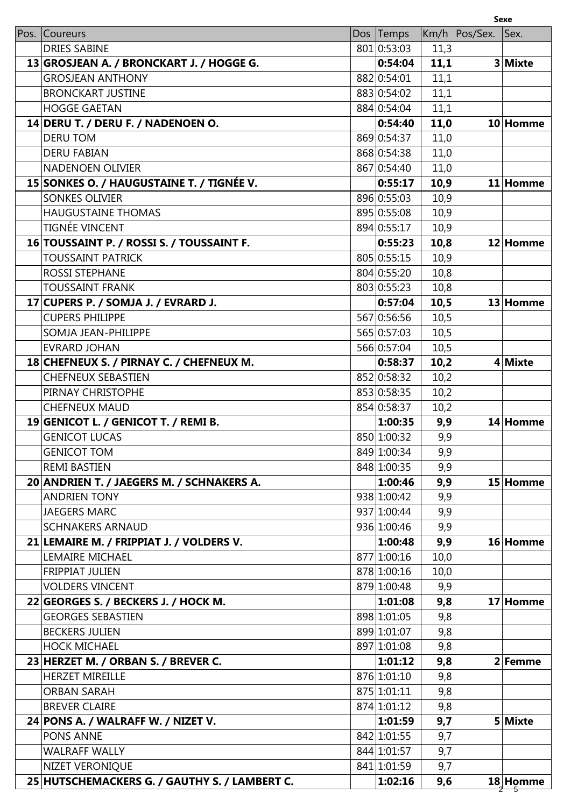|                                               |             |      |               | <b>Sexe</b> |
|-----------------------------------------------|-------------|------|---------------|-------------|
| Pos. Coureurs                                 | Dos Temps   |      | Km/h Pos/Sex. | Sex.        |
| <b>DRIES SABINE</b>                           | 801 0:53:03 | 11,3 |               |             |
| 13 GROSJEAN A. / BRONCKART J. / HOGGE G.      | 0:54:04     | 11,1 |               | 3 Mixte     |
| <b>GROSJEAN ANTHONY</b>                       | 882 0:54:01 | 11,1 |               |             |
| <b>BRONCKART JUSTINE</b>                      | 883 0:54:02 | 11,1 |               |             |
| <b>HOGGE GAETAN</b>                           | 884 0:54:04 | 11,1 |               |             |
| 14 DERU T. / DERU F. / NADENOEN O.            | 0:54:40     | 11,0 |               | 10 Homme    |
| <b>DERU TOM</b>                               | 869 0:54:37 | 11,0 |               |             |
| <b>DERU FABIAN</b>                            | 868 0:54:38 | 11,0 |               |             |
| <b>NADENOEN OLIVIER</b>                       | 867 0:54:40 | 11,0 |               |             |
| 15 SONKES O. / HAUGUSTAINE T. / TIGNÉE V.     | 0:55:17     | 10,9 |               | 11 Homme    |
| <b>SONKES OLIVIER</b>                         | 896 0:55:03 | 10,9 |               |             |
| <b>HAUGUSTAINE THOMAS</b>                     | 895 0:55:08 | 10,9 |               |             |
| <b>TIGNÉE VINCENT</b>                         | 894 0:55:17 | 10,9 |               |             |
| 16 TOUSSAINT P. / ROSSI S. / TOUSSAINT F.     | 0:55:23     | 10,8 |               | 12 Homme    |
| <b>TOUSSAINT PATRICK</b>                      | 805 0:55:15 | 10,9 |               |             |
| <b>ROSSI STEPHANE</b>                         | 804 0:55:20 | 10,8 |               |             |
| <b>TOUSSAINT FRANK</b>                        | 803 0:55:23 | 10,8 |               |             |
| 17 CUPERS P. / SOMJA J. / EVRARD J.           | 0:57:04     | 10,5 |               | 13 Homme    |
| <b>CUPERS PHILIPPE</b>                        | 567 0:56:56 | 10,5 |               |             |
| SOMJA JEAN-PHILIPPE                           | 565 0:57:03 | 10,5 |               |             |
| <b>EVRARD JOHAN</b>                           | 566 0:57:04 | 10,5 |               |             |
| 18 CHEFNEUX S. / PIRNAY C. / CHEFNEUX M.      | 0:58:37     | 10,2 |               | 4 Mixte     |
| <b>CHEFNEUX SEBASTIEN</b>                     | 852 0:58:32 | 10,2 |               |             |
| PIRNAY CHRISTOPHE                             | 853 0:58:35 | 10,2 |               |             |
| <b>CHEFNEUX MAUD</b>                          | 854 0:58:37 | 10,2 |               |             |
| 19 GENICOT L. / GENICOT T. / REMI B.          | 1:00:35     | 9,9  |               | 14 Homme    |
| <b>GENICOT LUCAS</b>                          | 850 1:00:32 | 9,9  |               |             |
| <b>GENICOT TOM</b>                            | 849 1:00:34 | 9,9  |               |             |
| <b>REMI BASTIEN</b>                           | 848 1:00:35 | 9,9  |               |             |
| 20 ANDRIEN T. / JAEGERS M. / SCHNAKERS A.     | 1:00:46     | 9,9  |               | 15 Homme    |
| <b>ANDRIEN TONY</b>                           | 938 1:00:42 | 9,9  |               |             |
| <b>JAEGERS MARC</b>                           | 937 1:00:44 | 9,9  |               |             |
| <b>SCHNAKERS ARNAUD</b>                       | 936 1:00:46 | 9,9  |               |             |
| 21 LEMAIRE M. / FRIPPIAT J. / VOLDERS V.      | 1:00:48     | 9,9  |               | 16 Homme    |
| <b>LEMAIRE MICHAEL</b>                        | 877 1:00:16 | 10,0 |               |             |
| <b>FRIPPIAT JULIEN</b>                        | 878 1:00:16 | 10,0 |               |             |
| <b>VOLDERS VINCENT</b>                        | 879 1:00:48 | 9,9  |               |             |
| 22 GEORGES S. / BECKERS J. / HOCK M.          | 1:01:08     | 9,8  |               | 17 Homme    |
| <b>GEORGES SEBASTIEN</b>                      | 898 1:01:05 | 9,8  |               |             |
| <b>BECKERS JULIEN</b>                         | 899 1:01:07 | 9,8  |               |             |
| <b>HOCK MICHAEL</b>                           | 897 1:01:08 | 9,8  |               |             |
| 23 HERZET M. / ORBAN S. / BREVER C.           | 1:01:12     | 9,8  |               | 2 Femme     |
| <b>HERZET MIREILLE</b>                        | 876 1:01:10 | 9,8  |               |             |
| <b>ORBAN SARAH</b>                            | 875 1:01:11 | 9,8  |               |             |
| <b>BREVER CLAIRE</b>                          | 874 1:01:12 | 9,8  |               |             |
| 24 PONS A. / WALRAFF W. / NIZET V.            | 1:01:59     | 9,7  |               | 5 Mixte     |
| <b>PONS ANNE</b>                              | 842 1:01:55 | 9,7  |               |             |
| <b>WALRAFF WALLY</b>                          | 844 1:01:57 | 9,7  |               |             |
| NIZET VERONIQUE                               | 841 1:01:59 | 9,7  |               |             |
| 25 HUTSCHEMACKERS G. / GAUTHY S. / LAMBERT C. | 1:02:16     | 9,6  |               | 18 Homme    |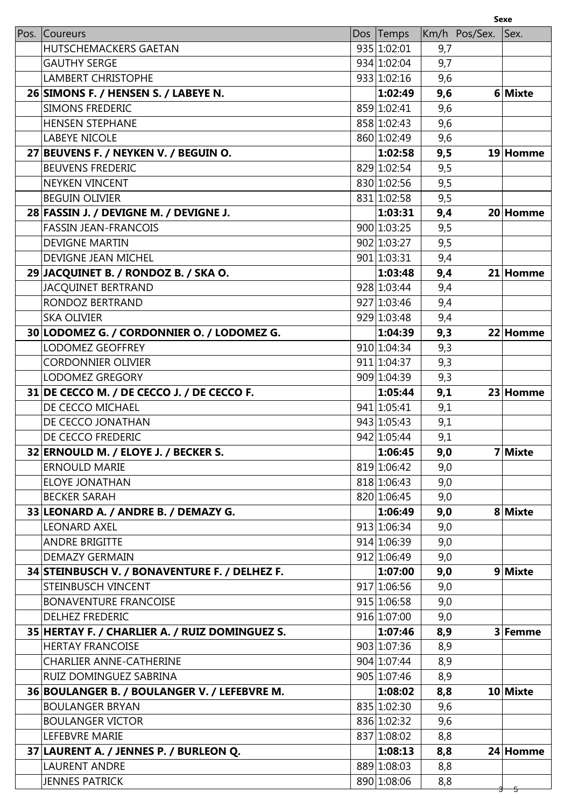|                                                |             |     |               | Sexe     |
|------------------------------------------------|-------------|-----|---------------|----------|
| Pos. Coureurs                                  | Dos Temps   |     | Km/h Pos/Sex. | Sex.     |
| <b>HUTSCHEMACKERS GAETAN</b>                   | 935 1:02:01 | 9,7 |               |          |
| <b>GAUTHY SERGE</b>                            | 934 1:02:04 | 9,7 |               |          |
| <b>LAMBERT CHRISTOPHE</b>                      | 933 1:02:16 | 9,6 |               |          |
| 26 SIMONS F. / HENSEN S. / LABEYE N.           | 1:02:49     | 9,6 |               | 6 Mixte  |
| <b>SIMONS FREDERIC</b>                         | 859 1:02:41 | 9,6 |               |          |
| <b>HENSEN STEPHANE</b>                         | 858 1:02:43 | 9,6 |               |          |
| <b>LABEYE NICOLE</b>                           | 860 1:02:49 | 9,6 |               |          |
| 27 BEUVENS F. / NEYKEN V. / BEGUIN O.          | 1:02:58     | 9,5 |               | 19 Homme |
| <b>BEUVENS FREDERIC</b>                        | 829 1:02:54 | 9,5 |               |          |
| <b>NEYKEN VINCENT</b>                          | 830 1:02:56 | 9,5 |               |          |
| <b>BEGUIN OLIVIER</b>                          | 831 1:02:58 | 9,5 |               |          |
| 28 FASSIN J. / DEVIGNE M. / DEVIGNE J.         | 1:03:31     | 9,4 |               | 20 Homme |
| <b>FASSIN JEAN-FRANCOIS</b>                    | 900 1:03:25 | 9,5 |               |          |
| <b>DEVIGNE MARTIN</b>                          | 902 1:03:27 | 9,5 |               |          |
| DEVIGNE JEAN MICHEL                            | 901 1:03:31 | 9,4 |               |          |
| 29 JACQUINET B. / RONDOZ B. / SKA O.           | 1:03:48     | 9,4 |               | 21 Homme |
| JACQUINET BERTRAND                             | 928 1:03:44 | 9,4 |               |          |
| RONDOZ BERTRAND                                | 927 1:03:46 | 9,4 |               |          |
| <b>SKA OLIVIER</b>                             | 929 1:03:48 | 9,4 |               |          |
| 30 LODOMEZ G. / CORDONNIER O. / LODOMEZ G.     | 1:04:39     | 9,3 |               | 22 Homme |
| <b>LODOMEZ GEOFFREY</b>                        | 910 1:04:34 | 9,3 |               |          |
| <b>CORDONNIER OLIVIER</b>                      | 911 1:04:37 | 9,3 |               |          |
| <b>LODOMEZ GREGORY</b>                         | 909 1:04:39 | 9,3 |               |          |
| 31 DE CECCO M. / DE CECCO J. / DE CECCO F.     | 1:05:44     | 9,1 |               | 23 Homme |
| DE CECCO MICHAEL                               | 941 1:05:41 | 9,1 |               |          |
| DE CECCO JONATHAN                              | 943 1:05:43 | 9,1 |               |          |
| DE CECCO FREDERIC                              | 942 1:05:44 | 9,1 |               |          |
| 32 ERNOULD M. / ELOYE J. / BECKER S.           | 1:06:45     | 9,0 |               | 7 Mixte  |
| <b>ERNOULD MARIE</b>                           | 819 1:06:42 | 9,0 |               |          |
| <b>ELOYE JONATHAN</b>                          | 818 1:06:43 | 9,0 |               |          |
| <b>BECKER SARAH</b>                            | 820 1:06:45 | 9,0 |               |          |
| 33 LEONARD A. / ANDRE B. / DEMAZY G.           | 1:06:49     | 9,0 |               | 8 Mixte  |
| <b>LEONARD AXEL</b>                            | 913 1:06:34 | 9,0 |               |          |
| <b>ANDRE BRIGITTE</b>                          | 914 1:06:39 | 9,0 |               |          |
| <b>DEMAZY GERMAIN</b>                          | 912 1:06:49 | 9,0 |               |          |
| 34 STEINBUSCH V. / BONAVENTURE F. / DELHEZ F.  | 1:07:00     | 9,0 |               | 9 Mixte  |
| <b>STEINBUSCH VINCENT</b>                      | 917 1:06:56 | 9,0 |               |          |
| <b>BONAVENTURE FRANCOISE</b>                   | 915 1:06:58 | 9,0 |               |          |
| <b>DELHEZ FREDERIC</b>                         | 916 1:07:00 | 9,0 |               |          |
| 35 HERTAY F. / CHARLIER A. / RUIZ DOMINGUEZ S. | 1:07:46     | 8,9 |               | 3 Femme  |
| <b>HERTAY FRANCOISE</b>                        | 903 1:07:36 | 8,9 |               |          |
| <b>CHARLIER ANNE-CATHERINE</b>                 | 904 1:07:44 | 8,9 |               |          |
| RUIZ DOMINGUEZ SABRINA                         | 905 1:07:46 | 8,9 |               |          |
| 36 BOULANGER B. / BOULANGER V. / LEFEBVRE M.   | 1:08:02     | 8,8 |               | 10 Mixte |
| <b>BOULANGER BRYAN</b>                         | 835 1:02:30 | 9,6 |               |          |
| <b>BOULANGER VICTOR</b>                        | 836 1:02:32 | 9,6 |               |          |
| LEFEBVRE MARIE                                 | 837 1:08:02 | 8,8 |               |          |
| 37 LAURENT A. / JENNES P. / BURLEON Q.         | 1:08:13     | 8,8 |               | 24 Homme |
| <b>LAURENT ANDRE</b>                           | 889 1:08:03 | 8,8 |               |          |
| <b>JENNES PATRICK</b>                          | 890 1:08:06 | 8,8 |               |          |
|                                                |             |     |               | 5        |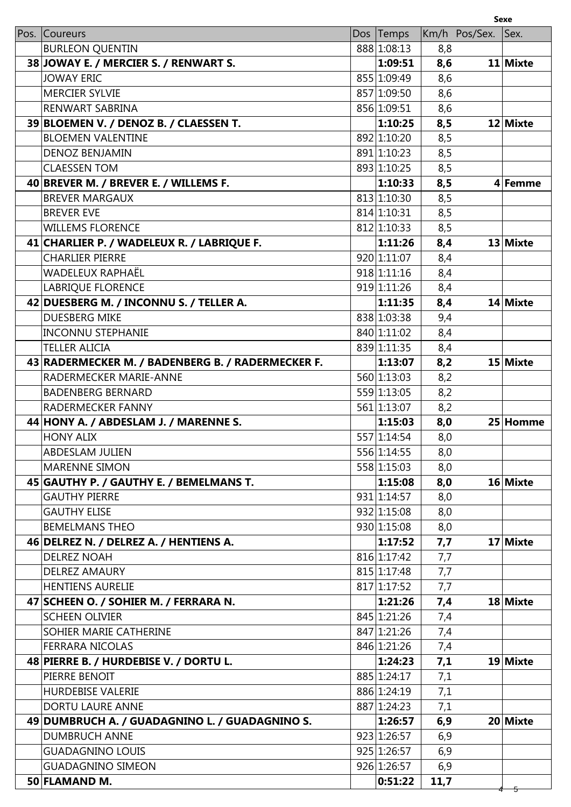|                                                   |             |      |               | <b>Sexe</b> |
|---------------------------------------------------|-------------|------|---------------|-------------|
| Pos. Coureurs                                     | Dos Temps   |      | Km/h Pos/Sex. | Sex.        |
| <b>BURLEON QUENTIN</b>                            | 888 1:08:13 | 8,8  |               |             |
| 38 JOWAY E. / MERCIER S. / RENWART S.             | 1:09:51     | 8,6  |               | 11 Mixte    |
| <b>JOWAY ERIC</b>                                 | 855 1:09:49 | 8,6  |               |             |
| <b>MERCIER SYLVIE</b>                             | 857 1:09:50 | 8,6  |               |             |
| RENWART SABRINA                                   | 856 1:09:51 | 8,6  |               |             |
| 39 BLOEMEN V. / DENOZ B. / CLAESSEN T.            | 1:10:25     | 8,5  |               | 12 Mixte    |
| <b>BLOEMEN VALENTINE</b>                          | 892 1:10:20 | 8,5  |               |             |
| <b>DENOZ BENJAMIN</b>                             | 891 1:10:23 | 8,5  |               |             |
| <b>CLAESSEN TOM</b>                               | 893 1:10:25 | 8,5  |               |             |
| 40 BREVER M. / BREVER E. / WILLEMS F.             | 1:10:33     | 8,5  |               | 4 Femme     |
| <b>BREVER MARGAUX</b>                             | 813 1:10:30 | 8,5  |               |             |
| <b>BREVER EVE</b>                                 | 814 1:10:31 | 8,5  |               |             |
| <b>WILLEMS FLORENCE</b>                           | 812 1:10:33 | 8,5  |               |             |
| 41 CHARLIER P. / WADELEUX R. / LABRIQUE F.        | 1:11:26     | 8,4  |               | 13 Mixte    |
| <b>CHARLIER PIERRE</b>                            | 920 1:11:07 | 8,4  |               |             |
| WADELEUX RAPHAËL                                  | 918 1:11:16 | 8,4  |               |             |
| <b>LABRIQUE FLORENCE</b>                          | 919 1:11:26 | 8,4  |               |             |
| 42 DUESBERG M. / INCONNU S. / TELLER A.           | 1:11:35     | 8,4  |               | 14 Mixte    |
| <b>DUESBERG MIKE</b>                              | 838 1:03:38 | 9,4  |               |             |
| <b>INCONNU STEPHANIE</b>                          | 840 1:11:02 | 8,4  |               |             |
| <b>TELLER ALICIA</b>                              | 839 1:11:35 | 8,4  |               |             |
| 43 RADERMECKER M. / BADENBERG B. / RADERMECKER F. | 1:13:07     | 8,2  |               | 15 Mixte    |
| RADERMECKER MARIE-ANNE                            | 560 1:13:03 | 8,2  |               |             |
| <b>BADENBERG BERNARD</b>                          | 559 1:13:05 | 8,2  |               |             |
| RADERMECKER FANNY                                 | 561 1:13:07 | 8,2  |               |             |
| 44 HONY A. / ABDESLAM J. / MARENNE S.             | 1:15:03     | 8,0  |               | 25 Homme    |
| <b>HONY ALIX</b>                                  | 557 1:14:54 | 8,0  |               |             |
| <b>ABDESLAM JULIEN</b>                            | 556 1:14:55 | 8,0  |               |             |
| <b>MARENNE SIMON</b>                              | 558 1:15:03 | 8,0  |               |             |
| 45 GAUTHY P. / GAUTHY E. / BEMELMANS T.           | 1:15:08     | 8,0  |               | 16 Mixte    |
| <b>GAUTHY PIERRE</b>                              | 931 1:14:57 | 8,0  |               |             |
| <b>GAUTHY ELISE</b>                               | 932 1:15:08 | 8,0  |               |             |
| <b>BEMELMANS THEO</b>                             | 930 1:15:08 | 8,0  |               |             |
| 46 DELREZ N. / DELREZ A. / HENTIENS A.            | 1:17:52     | 7,7  |               | 17 Mixte    |
| <b>DELREZ NOAH</b>                                | 816 1:17:42 | 7,7  |               |             |
| <b>DELREZ AMAURY</b>                              | 815 1:17:48 | 7,7  |               |             |
| <b>HENTIENS AURELIE</b>                           | 817 1:17:52 | 7,7  |               |             |
| 47 SCHEEN O. / SOHIER M. / FERRARA N.             | 1:21:26     | 7,4  |               | 18 Mixte    |
| <b>SCHEEN OLIVIER</b>                             | 845 1:21:26 | 7,4  |               |             |
| SOHIER MARIE CATHERINE                            | 847 1:21:26 | 7,4  |               |             |
| <b>FERRARA NICOLAS</b>                            | 846 1:21:26 | 7,4  |               |             |
| 48 PIERRE B. / HURDEBISE V. / DORTU L.            | 1:24:23     | 7,1  |               | 19 Mixte    |
| PIERRE BENOIT                                     | 885 1:24:17 | 7,1  |               |             |
| <b>HURDEBISE VALERIE</b>                          | 886 1:24:19 | 7,1  |               |             |
| DORTU LAURE ANNE                                  | 887 1:24:23 | 7,1  |               |             |
| 49 DUMBRUCH A. / GUADAGNINO L. / GUADAGNINO S.    | 1:26:57     | 6,9  |               | 20 Mixte    |
| <b>DUMBRUCH ANNE</b>                              | 923 1:26:57 | 6,9  |               |             |
| <b>GUADAGNINO LOUIS</b>                           | 925 1:26:57 | 6,9  |               |             |
| <b>GUADAGNINO SIMEON</b>                          | 926 1:26:57 | 6,9  |               |             |
| 50 FLAMAND M.                                     | 0:51:22     | 11,7 |               |             |
|                                                   |             |      |               | 5           |